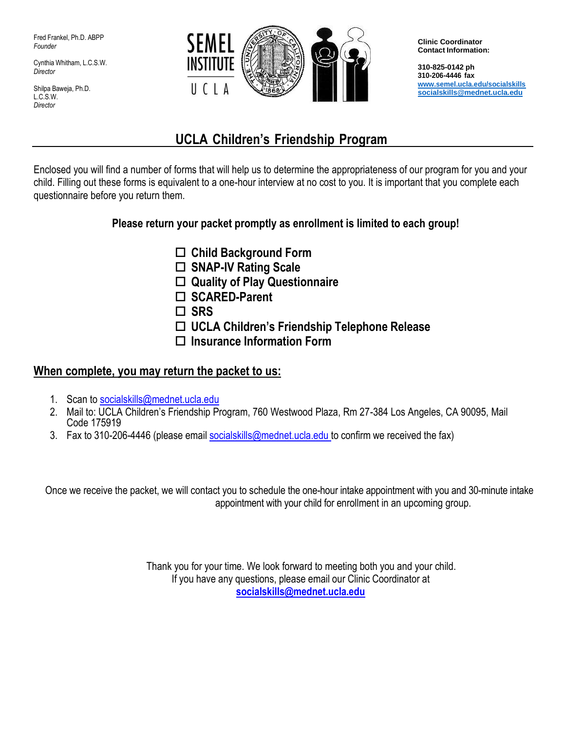Fred Frankel, Ph.D. ABPP *Founder*

Cynthia Whitham, L.C.S.W. *Director*

Shilpa Baweja, Ph.D. L.C.S.W. *Director*



**Clinic Coordinator Contact Information:**

**310-825-0142 ph 310-206-4446 fax [www.semel.ucla.edu/socialskills](http://www.semel.ucla.edu/socialskills) [socialskills@mednet.ucla.edu](mailto:socialskills@mednet.ucla.edu)**

# **UCLA Children's Friendship Program**

Enclosed you will find a number of forms that will help us to determine the appropriateness of our program for you and your child. Filling out these forms is equivalent to a one-hour interview at no cost to you. It is important that you complete each questionnaire before you return them.

## **Please return your packet promptly as enrollment is limited to each group!**

- **Child Background Form**
- **SNAP-IV Rating Scale**
- **Quality of Play Questionnaire**
- **SCARED-Parent**
- **SRS**
- **UCLA Children's Friendship Telephone Release**
- **Insurance Information Form**

## **When complete, you may return the packet to us:**

- 1. Scan to [socialskills@mednet.ucla.edu](mailto:socialskills@mednet.ucla.edu)
- 2. Mail to: UCLA Children's Friendship Program, 760 Westwood Plaza, Rm 27-384 Los Angeles, CA 90095, Mail Code 175919
- 3. Fax to 310-206-4446 (please email [socialskills@mednet.ucla.edu](mailto:socialskills@mednet.ucla.edu) to confirm we received the fax)

Once we receive the packet, we will contact you to schedule the one-hour intake appointment with you and 30-minute intake appointment with your child for enrollment in an upcoming group.

> Thank you for your time. We look forward to meeting both you and your child. If you have any questions, please email our Clinic Coordinator at **[socialskills@mednet.ucla.edu](mailto:socialskills@mednet.ucla.edu)**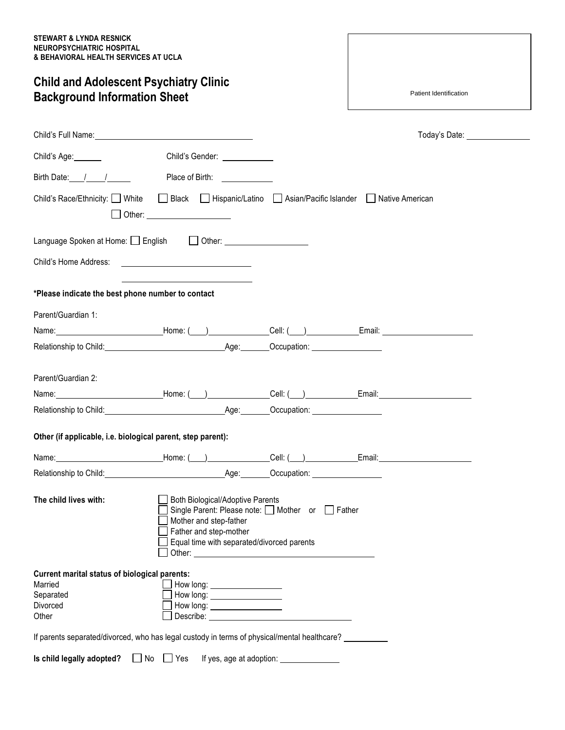## **Child and Adolescent Psychiatry Clinic Background Information Sheet**

Patient Identification

| Child's Full Name: Manual According to the Child's Full Name:                                                                                                                                                                  |                                                                                                                                                                                        |  |
|--------------------------------------------------------------------------------------------------------------------------------------------------------------------------------------------------------------------------------|----------------------------------------------------------------------------------------------------------------------------------------------------------------------------------------|--|
| Child's Age:                                                                                                                                                                                                                   | Child's Gender: _____________                                                                                                                                                          |  |
| Birth Date: / /                                                                                                                                                                                                                | Place of Birth: <u>__________</u>                                                                                                                                                      |  |
| Child's Race/Ethnicity: □ White                                                                                                                                                                                                | □ Black □ Hispanic/Latino □ Asian/Pacific Islander □ Native American<br>$\Box$ Other: $\Box$                                                                                           |  |
| Language Spoken at Home: English 10ther: 10ther:                                                                                                                                                                               |                                                                                                                                                                                        |  |
| Child's Home Address:                                                                                                                                                                                                          | <u> 1989 - Johann Harry Barn, mars ar breist fan de Fryske kommunent (</u>                                                                                                             |  |
| *Please indicate the best phone number to contact                                                                                                                                                                              | <u> 1989 - Johann Barbara, martin a</u>                                                                                                                                                |  |
| Parent/Guardian 1:                                                                                                                                                                                                             |                                                                                                                                                                                        |  |
|                                                                                                                                                                                                                                |                                                                                                                                                                                        |  |
| Relationship to Child: Contract Contract Contract Contract Contract Contract Contract Contract Contract Contract Contract Contract Contract Contract Contract Contract Contract Contract Contract Contract Contract Contract C |                                                                                                                                                                                        |  |
| Parent/Guardian 2:                                                                                                                                                                                                             |                                                                                                                                                                                        |  |
|                                                                                                                                                                                                                                |                                                                                                                                                                                        |  |
|                                                                                                                                                                                                                                |                                                                                                                                                                                        |  |
| Other (if applicable, i.e. biological parent, step parent):                                                                                                                                                                    |                                                                                                                                                                                        |  |
| Name: Mame: Mame: Mame: (Coll: (Mame: Cell: (Mame: Email: Mame: Mame: Mame: Mame: Mame: Mame: Mame: Mame: Mame: Mame: Mame: Mame: Mame: Mame: Mame: Mame: Mame: Mame: Mame: Mame: Mame: Mame: Mame: Mame: Mame: Mame: Mame: Ma |                                                                                                                                                                                        |  |
| Relationship to Child: example and the control of Age: Cocupation: example and the control of Age: Cocupation:                                                                                                                 |                                                                                                                                                                                        |  |
| The child lives with:                                                                                                                                                                                                          | Both Biological/Adoptive Parents<br>Single Parent: Please note: □ Mother or □ Father<br>Mother and step-father<br>Father and step-mother<br>Equal time with separated/divorced parents |  |
| Current marital status of biological parents:<br>Married                                                                                                                                                                       | How long: _____________________                                                                                                                                                        |  |
| Separated                                                                                                                                                                                                                      | How long: ___________________                                                                                                                                                          |  |
| Divorced<br>Other                                                                                                                                                                                                              |                                                                                                                                                                                        |  |
| If parents separated/divorced, who has legal custody in terms of physical/mental healthcare?                                                                                                                                   |                                                                                                                                                                                        |  |
|                                                                                                                                                                                                                                |                                                                                                                                                                                        |  |
| Is child legally adopted? $\Box$ No $\Box$ Yes If yes, age at adoption:                                                                                                                                                        |                                                                                                                                                                                        |  |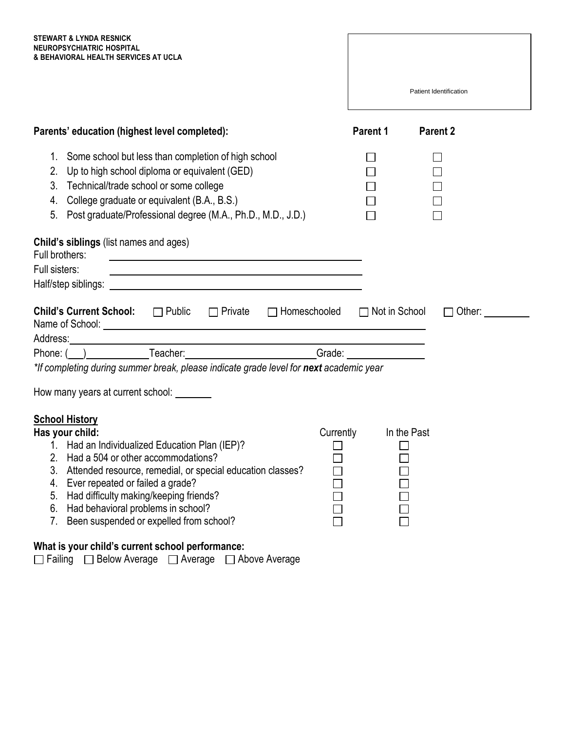| STEWART & LYNDA RESNICK              |
|--------------------------------------|
| NEUROPSYCHIATRIC HOSPITAL            |
| & BEHAVIORAL HEALTH SERVICES AT UCLA |

| & BEHAVIORAL HEALTH SERVICES AT UCLA                                                                                                                                                                                                                                                                                                                                                                                                                            |                      |                        |
|-----------------------------------------------------------------------------------------------------------------------------------------------------------------------------------------------------------------------------------------------------------------------------------------------------------------------------------------------------------------------------------------------------------------------------------------------------------------|----------------------|------------------------|
|                                                                                                                                                                                                                                                                                                                                                                                                                                                                 |                      | Patient Identification |
| Parents' education (highest level completed):                                                                                                                                                                                                                                                                                                                                                                                                                   | Parent 1             | <b>Parent 2</b>        |
| 1. Some school but less than completion of high school<br>2. Up to high school diploma or equivalent (GED)<br>3. Technical/trade school or some college<br>4. College graduate or equivalent (B.A., B.S.)<br>5. Post graduate/Professional degree (M.A., Ph.D., M.D., J.D.)                                                                                                                                                                                     |                      |                        |
| Child's siblings (list names and ages)<br>Full brothers:<br>Full sisters:                                                                                                                                                                                                                                                                                                                                                                                       |                      |                        |
| <b>Child's Current School:</b> □ Public □ Private<br>$\Box$ Homeschooled                                                                                                                                                                                                                                                                                                                                                                                        | $\Box$ Not in School | Other:                 |
| Address: Note and the second contract of the second contract of the second contract of the second contract of the second contract of the second contract of the second contract of the second contract of the second contract<br>Phone: ( ) Teacher: Teacher: Grade: Compare: Compare: Compare: Compare: Compare: Compare: Compare: Compare: Compare: Compare: Compare: Compare: Compare: Compare: Compare: Compare: Compare: Compare: Compare: Compare: Compar |                      |                        |
| *If completing during summer break, please indicate grade level for next academic year                                                                                                                                                                                                                                                                                                                                                                          |                      |                        |
| How many years at current school: _______                                                                                                                                                                                                                                                                                                                                                                                                                       |                      |                        |
| <b>School History</b><br>Has your child:<br>Currently<br>1. Had an Individualized Education Plan (IEP)?<br>2. Had a 504 or other accommodations?<br>3.<br>Attended resource, remedial, or special education classes?<br>Ever repeated or failed a grade?<br>4.<br>Had difficulty making/keeping friends?<br>5.<br>Had behavioral problems in school?<br>6.<br>Been suspended or expelled from school?<br>7.                                                     |                      | In the Past            |

**What is your child's current school performance:** Failing □ Below Average □ Average □ Above Average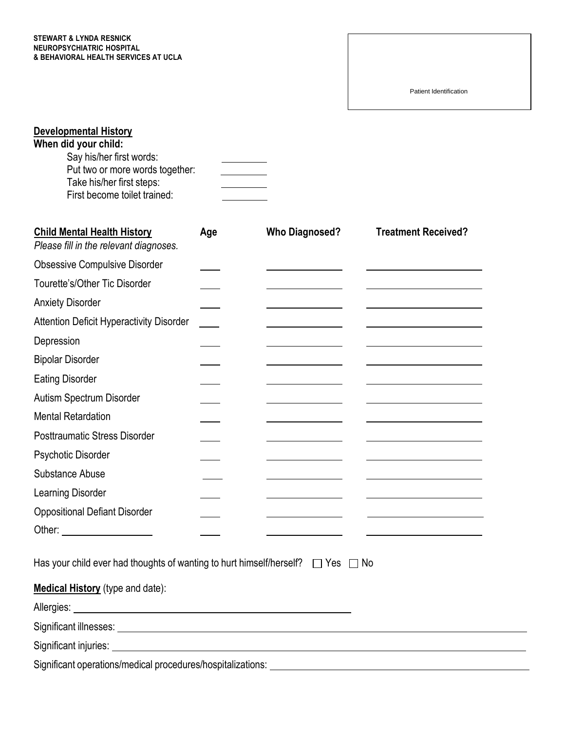#### **STEWART & LYNDA RESNICK NEUROPSYCHIATRIC HOSPITAL & BEHAVIORAL HEALTH SERVICES AT UCLA**

Patient Identification

| <b>Developmental History</b><br>When did your child:<br>Say his/her first words:<br>Put two or more words together:<br>Take his/her first steps:<br>First become toilet trained: |     |                       |                            |
|----------------------------------------------------------------------------------------------------------------------------------------------------------------------------------|-----|-----------------------|----------------------------|
| <b>Child Mental Health History</b><br>Please fill in the relevant diagnoses.                                                                                                     | Age | <b>Who Diagnosed?</b> | <b>Treatment Received?</b> |
| <b>Obsessive Compulsive Disorder</b>                                                                                                                                             |     |                       |                            |
| Tourette's/Other Tic Disorder                                                                                                                                                    |     |                       |                            |
| <b>Anxiety Disorder</b>                                                                                                                                                          |     |                       |                            |
| <b>Attention Deficit Hyperactivity Disorder</b>                                                                                                                                  |     |                       |                            |
| Depression                                                                                                                                                                       |     |                       |                            |
| <b>Bipolar Disorder</b>                                                                                                                                                          |     |                       |                            |
| <b>Eating Disorder</b>                                                                                                                                                           |     |                       |                            |
| Autism Spectrum Disorder                                                                                                                                                         |     |                       |                            |
| <b>Mental Retardation</b>                                                                                                                                                        |     |                       |                            |
| <b>Posttraumatic Stress Disorder</b>                                                                                                                                             |     |                       |                            |
| Psychotic Disorder                                                                                                                                                               |     |                       |                            |
| <b>Substance Abuse</b>                                                                                                                                                           |     |                       |                            |
| Learning Disorder                                                                                                                                                                |     |                       |                            |
| <b>Oppositional Defiant Disorder</b>                                                                                                                                             |     |                       |                            |
| Other:                                                                                                                                                                           |     |                       |                            |
| Has your child ever had thoughts of wanting to hurt himself/herself? $\Box$ Yes $\Box$ No                                                                                        |     |                       |                            |
| <b>Medical History</b> (type and date):                                                                                                                                          |     |                       |                            |
|                                                                                                                                                                                  |     |                       |                            |
|                                                                                                                                                                                  |     |                       |                            |
|                                                                                                                                                                                  |     |                       |                            |
|                                                                                                                                                                                  |     |                       |                            |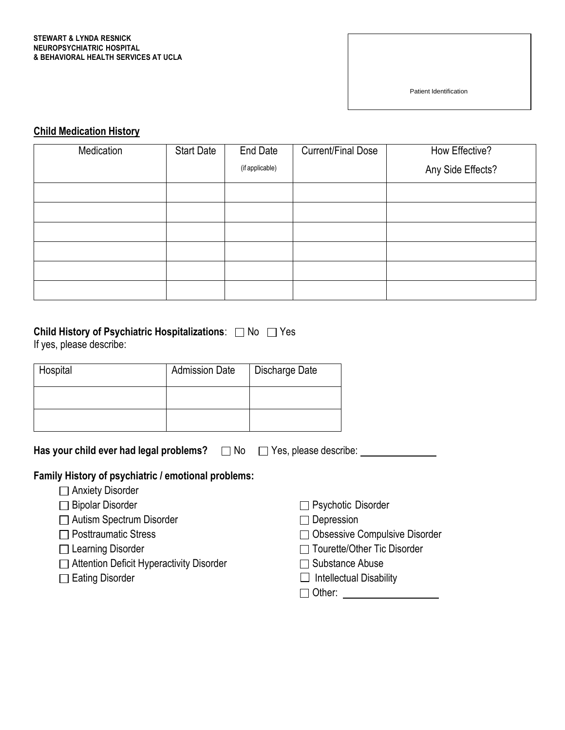#### **STEWART & LYNDA RESNICK NEUROPSYCHIATRIC HOSPITAL & BEHAVIORAL HEALTH SERVICES AT UCLA**

Patient Identification

## **Child Medication History**

| Medication | <b>Start Date</b> | End Date        | <b>Current/Final Dose</b> | How Effective?    |
|------------|-------------------|-----------------|---------------------------|-------------------|
|            |                   | (if applicable) |                           | Any Side Effects? |
|            |                   |                 |                           |                   |
|            |                   |                 |                           |                   |
|            |                   |                 |                           |                   |
|            |                   |                 |                           |                   |
|            |                   |                 |                           |                   |
|            |                   |                 |                           |                   |

# **Child History of Psychiatric Hospitalizations:** □ No □ Yes

If yes, please describe:

| Hospital | <b>Admission Date</b> | Discharge Date |
|----------|-----------------------|----------------|
|          |                       |                |
|          |                       |                |

| Has your child ever had legal problems? $\Box$ No $\Box$ Yes, please describe: |  |  |  |
|--------------------------------------------------------------------------------|--|--|--|
|--------------------------------------------------------------------------------|--|--|--|

## **Family History of psychiatric / emotional problems:**

- □ Anxiety Disorder
- Bipolar Disorder
- □ Autism Spectrum Disorder
- □ Posttraumatic Stress
- □ Learning Disorder
- □ Attention Deficit Hyperactivity Disorder
- □ Eating Disorder
- □ Psychotic Disorder
- □ Depression
- □ Obsessive Compulsive Disorder
- Tourette/Other Tic Disorder
- $\Box$  Substance Abuse
- $\Box$  Intellectual Disability

□ Other: <u>www.community.com</u>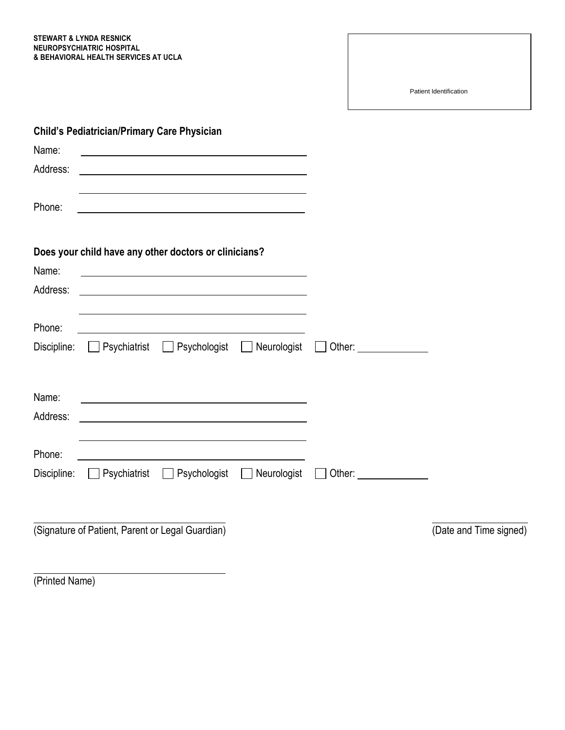**STEWART & LYNDA RESNICK NEUROPSYCHIATRIC HOSPITAL & BEHAVIORAL HEALTH SERVICES AT UCLA**

Patient Identification

|                   | <b>Child's Pediatrician/Primary Care Physician</b> |                                                       |                    |                                                                                                                                                                                                                                |                        |
|-------------------|----------------------------------------------------|-------------------------------------------------------|--------------------|--------------------------------------------------------------------------------------------------------------------------------------------------------------------------------------------------------------------------------|------------------------|
| Name:             |                                                    |                                                       |                    |                                                                                                                                                                                                                                |                        |
| Address:          |                                                    |                                                       |                    |                                                                                                                                                                                                                                |                        |
| Phone:            |                                                    |                                                       |                    |                                                                                                                                                                                                                                |                        |
|                   |                                                    | Does your child have any other doctors or clinicians? |                    |                                                                                                                                                                                                                                |                        |
| Name:<br>Address: |                                                    |                                                       |                    |                                                                                                                                                                                                                                |                        |
|                   |                                                    |                                                       |                    |                                                                                                                                                                                                                                |                        |
| Phone:            |                                                    |                                                       |                    |                                                                                                                                                                                                                                |                        |
| Discipline:       |                                                    | ■ Psychiatrist ■ Psychologist ■ Neurologist           |                    | Other: and the control of the control of the control of the control of the control of the control of the control of the control of the control of the control of the control of the control of the control of the control of t |                        |
| Name:             |                                                    |                                                       |                    |                                                                                                                                                                                                                                |                        |
| Address:          |                                                    |                                                       |                    |                                                                                                                                                                                                                                |                        |
| Phone:            |                                                    | <u> 1980 - Johann Barn, fransk politik (d. 1980)</u>  |                    |                                                                                                                                                                                                                                |                        |
| Discipline:       | Psychiatrist                                       | Psychologist                                          | $\Box$ Neurologist | Other: ________________                                                                                                                                                                                                        |                        |
|                   |                                                    |                                                       |                    |                                                                                                                                                                                                                                |                        |
|                   | (Signature of Patient, Parent or Legal Guardian)   |                                                       |                    |                                                                                                                                                                                                                                | (Date and Time signed) |
|                   |                                                    |                                                       |                    |                                                                                                                                                                                                                                |                        |

(Printed Name)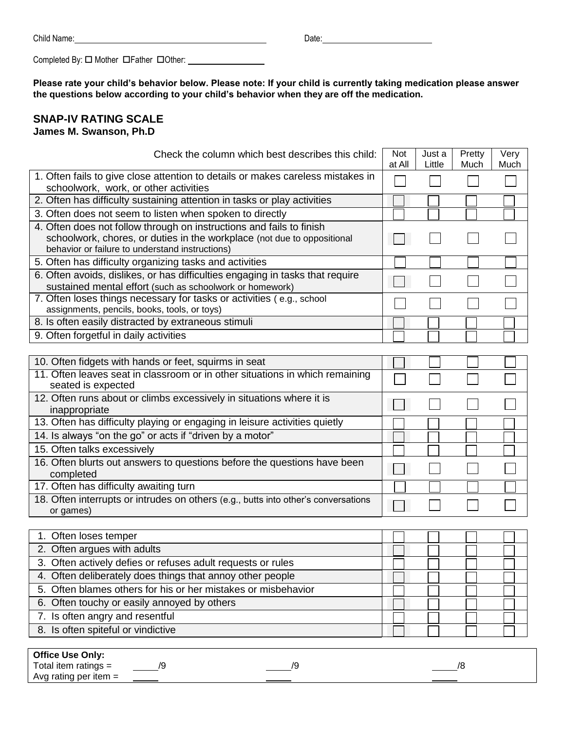| Child Name: | ⊃ate: |
|-------------|-------|
|-------------|-------|

Completed By:  $\Box$  Mother  $\Box$  Father  $\Box$  Other: \_\_\_\_\_\_\_\_\_\_\_\_\_\_\_\_\_\_\_\_\_\_\_\_\_\_\_\_\_\_\_

**Please rate your child's behavior below. Please note: If your child is currently taking medication please answer the questions below according to your child's behavior when they are off the medication.**

### **SNAP-IV RATING SCALE James M. Swanson, Ph.D**

| Check the column which best describes this child:                                                                                                                                                  | Not<br>at All | Just a<br>Little | Pretty<br>Much | Very<br>Much |
|----------------------------------------------------------------------------------------------------------------------------------------------------------------------------------------------------|---------------|------------------|----------------|--------------|
| 1. Often fails to give close attention to details or makes careless mistakes in<br>schoolwork, work, or other activities                                                                           |               |                  |                |              |
| 2. Often has difficulty sustaining attention in tasks or play activities                                                                                                                           |               |                  |                |              |
| 3. Often does not seem to listen when spoken to directly                                                                                                                                           |               |                  |                |              |
| 4. Often does not follow through on instructions and fails to finish<br>schoolwork, chores, or duties in the workplace (not due to oppositional<br>behavior or failure to understand instructions) |               |                  |                |              |
| 5. Often has difficulty organizing tasks and activities                                                                                                                                            |               |                  |                |              |
| 6. Often avoids, dislikes, or has difficulties engaging in tasks that require<br>sustained mental effort (such as schoolwork or homework)                                                          |               |                  |                |              |
| 7. Often loses things necessary for tasks or activities (e.g., school<br>assignments, pencils, books, tools, or toys)                                                                              |               |                  |                |              |
| 8. Is often easily distracted by extraneous stimuli                                                                                                                                                |               |                  |                |              |
| 9. Often forgetful in daily activities                                                                                                                                                             |               |                  |                |              |
|                                                                                                                                                                                                    |               |                  |                |              |
| 10. Often fidgets with hands or feet, squirms in seat                                                                                                                                              |               |                  |                |              |
| 11. Often leaves seat in classroom or in other situations in which remaining<br>seated is expected                                                                                                 |               |                  |                |              |
| 12. Often runs about or climbs excessively in situations where it is<br>inappropriate                                                                                                              |               |                  |                |              |
| 13. Often has difficulty playing or engaging in leisure activities quietly                                                                                                                         |               |                  |                |              |
| 14. Is always "on the go" or acts if "driven by a motor"                                                                                                                                           |               |                  |                |              |
| 15. Often talks excessively                                                                                                                                                                        |               |                  |                |              |
| 16. Often blurts out answers to questions before the questions have been<br>completed                                                                                                              |               |                  |                |              |
| 17. Often has difficulty awaiting turn                                                                                                                                                             |               |                  |                |              |
| 18. Often interrupts or intrudes on others (e.g., butts into other's conversations<br>or games)                                                                                                    |               |                  |                |              |
|                                                                                                                                                                                                    |               |                  |                |              |
| 1. Often loses temper                                                                                                                                                                              |               |                  |                |              |
| 2. Often argues with adults                                                                                                                                                                        |               |                  |                |              |
| 3. Often actively defies or refuses adult requests or rules                                                                                                                                        |               |                  |                |              |
| 4. Often deliberately does things that annoy other people                                                                                                                                          |               |                  |                |              |
| 5. Often blames others for his or her mistakes or misbehavior                                                                                                                                      |               |                  |                |              |
| 6. Often touchy or easily annoyed by others                                                                                                                                                        |               |                  |                |              |
| 7. Is often angry and resentful                                                                                                                                                                    |               |                  |                |              |
| 8. Is often spiteful or vindictive                                                                                                                                                                 |               |                  |                |              |

| <b>Office Use Only:</b> |    |  |
|-------------------------|----|--|
| Total item ratings =    | ١ç |  |
| Avg rating per item $=$ |    |  |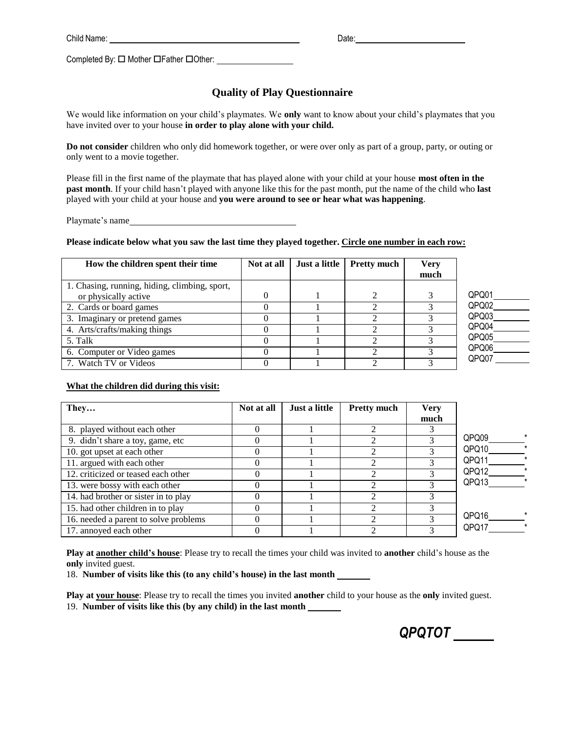Date:

Completed By:  $\square$  Mother  $\square$  Father  $\square$  Other:

## **Quality of Play Questionnaire**

We would like information on your child's playmates. We **only** want to know about your child's playmates that you have invited over to your house **in order to play alone with your child.**

**Do not consider** children who only did homework together, or were over only as part of a group, party, or outing or only went to a movie together.

Please fill in the first name of the playmate that has played alone with your child at your house **most often in the past month**. If your child hasn't played with anyone like this for the past month, put the name of the child who **last** played with your child at your house and **you were around to see or hear what was happening**.

Playmate's name

### Please indicate below what you saw the last time they played together. Circle one number in each row:

| How the children spent their time             | Not at all | Just a little | <b>Pretty much</b> | <b>Verv</b><br>much |       |
|-----------------------------------------------|------------|---------------|--------------------|---------------------|-------|
| 1. Chasing, running, hiding, climbing, sport, |            |               |                    |                     |       |
| or physically active                          | 0          |               |                    |                     | QPQ01 |
| 2. Cards or board games                       |            |               |                    |                     | QPQ02 |
| 3. Imaginary or pretend games                 |            |               |                    |                     | QPQ03 |
| 4. Arts/crafts/making things                  |            |               |                    |                     | QPQ04 |
| 5. Talk                                       |            |               |                    |                     | QPQ05 |
| 6. Computer or Video games                    |            |               |                    |                     | QPQ06 |
| 7. Watch TV or Videos                         |            |               |                    |                     | QPQ07 |

#### **What the children did during this visit:**

| They                                  | Not at all | Just a little | <b>Pretty much</b> | <b>Very</b><br>much |       |
|---------------------------------------|------------|---------------|--------------------|---------------------|-------|
| 8. played without each other          |            |               |                    |                     |       |
| 9. didn't share a toy, game, etc      |            |               |                    |                     | QPQ09 |
| 10. got upset at each other           |            |               |                    |                     | QPQ10 |
| 11. argued with each other            |            |               |                    |                     | QPQ11 |
| 12. criticized or teased each other   |            |               |                    |                     | QPQ12 |
| 13. were bossy with each other        |            |               |                    |                     | QPQ13 |
| 14. had brother or sister in to play  |            |               |                    |                     |       |
| 15. had other children in to play     |            |               | ↑                  |                     |       |
| 16. needed a parent to solve problems |            |               | ↑                  |                     | QPQ16 |
| 17. annoyed each other                |            |               |                    |                     | QPQ17 |

**Play at another child's house**: Please try to recall the times your child was invited to **another** child's house as the **only** invited guest.

18. **Number of visits like this (to any child's house) in the last month**

**Play at your house**: Please try to recall the times you invited **another** child to your house as the **only** invited guest. 19. **Number of visits like this (by any child) in the last month**

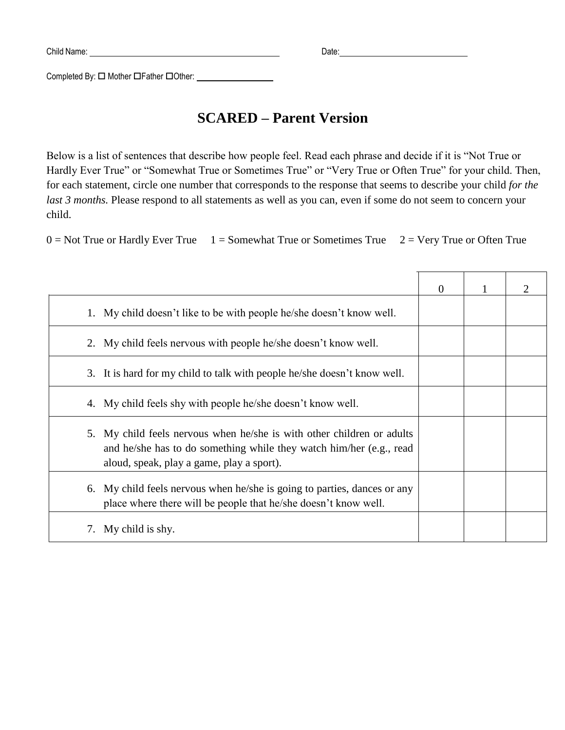Completed By:  $\square$  Mother  $\square$  Father  $\square$  Other:

# **SCARED – Parent Version**

Below is a list of sentences that describe how people feel. Read each phrase and decide if it is "Not True or Hardly Ever True" or "Somewhat True or Sometimes True" or "Very True or Often True" for your child. Then, for each statement, circle one number that corresponds to the response that seems to describe your child *for the last 3 months.* Please respond to all statements as well as you can, even if some do not seem to concern your child.

 $0 = Not True$  or Hardly Ever True  $1 = Somewhat$  True or Sometimes True  $2 = Very$  True or Often True

|                                                                                                                                                                                               | $\Omega$ |  |
|-----------------------------------------------------------------------------------------------------------------------------------------------------------------------------------------------|----------|--|
| 1. My child doesn't like to be with people he/she doesn't know well.                                                                                                                          |          |  |
| 2. My child feels nervous with people he/she doesn't know well.                                                                                                                               |          |  |
| It is hard for my child to talk with people he/she doesn't know well.<br>3.                                                                                                                   |          |  |
| My child feels shy with people he/she doesn't know well.<br>4.                                                                                                                                |          |  |
| My child feels nervous when he/she is with other children or adults<br>5.<br>and he/she has to do something while they watch him/her (e.g., read<br>aloud, speak, play a game, play a sport). |          |  |
| My child feels nervous when he/she is going to parties, dances or any<br>6.<br>place where there will be people that he/she doesn't know well.                                                |          |  |
| My child is shy.<br>7.                                                                                                                                                                        |          |  |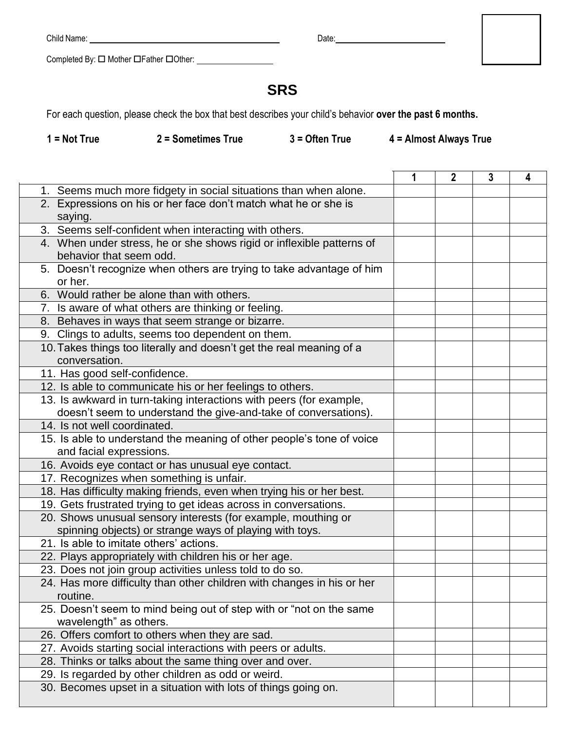Date:

Completed By:  $\square$  Mother  $\square$  Father  $\square$  Other: \_\_\_\_\_\_\_\_\_\_\_\_\_\_\_\_\_\_\_\_\_\_\_\_\_\_\_\_\_\_

# **SRS**

For each question, please check the box that best describes your child's behavior **over the past 6 months.**

 **1 = Not True 2 = Sometimes True 3 = Often True 4 = Almost Always True**

٦

 $\mathsf T$ 

|                                                                        | 2 | 3 | 4 |
|------------------------------------------------------------------------|---|---|---|
| 1. Seems much more fidgety in social situations than when alone.       |   |   |   |
| 2. Expressions on his or her face don't match what he or she is        |   |   |   |
| saying.                                                                |   |   |   |
| 3. Seems self-confident when interacting with others.                  |   |   |   |
| 4. When under stress, he or she shows rigid or inflexible patterns of  |   |   |   |
| behavior that seem odd.                                                |   |   |   |
| 5. Doesn't recognize when others are trying to take advantage of him   |   |   |   |
| or her.                                                                |   |   |   |
| 6. Would rather be alone than with others.                             |   |   |   |
| 7. Is aware of what others are thinking or feeling.                    |   |   |   |
| 8. Behaves in ways that seem strange or bizarre.                       |   |   |   |
| 9. Clings to adults, seems too dependent on them.                      |   |   |   |
| 10. Takes things too literally and doesn't get the real meaning of a   |   |   |   |
| conversation.                                                          |   |   |   |
| 11. Has good self-confidence.                                          |   |   |   |
| 12. Is able to communicate his or her feelings to others.              |   |   |   |
| 13. Is awkward in turn-taking interactions with peers (for example,    |   |   |   |
| doesn't seem to understand the give-and-take of conversations).        |   |   |   |
| 14. Is not well coordinated.                                           |   |   |   |
| 15. Is able to understand the meaning of other people's tone of voice  |   |   |   |
| and facial expressions.                                                |   |   |   |
| 16. Avoids eye contact or has unusual eye contact.                     |   |   |   |
| 17. Recognizes when something is unfair.                               |   |   |   |
| 18. Has difficulty making friends, even when trying his or her best.   |   |   |   |
| 19. Gets frustrated trying to get ideas across in conversations.       |   |   |   |
| 20. Shows unusual sensory interests (for example, mouthing or          |   |   |   |
| spinning objects) or strange ways of playing with toys.                |   |   |   |
| 21. Is able to imitate others' actions.                                |   |   |   |
| 22. Plays appropriately with children his or her age.                  |   |   |   |
| 23. Does not join group activities unless told to do so.               |   |   |   |
| 24. Has more difficulty than other children with changes in his or her |   |   |   |
| routine.                                                               |   |   |   |
| 25. Doesn't seem to mind being out of step with or "not on the same    |   |   |   |
| wavelength" as others.                                                 |   |   |   |
| 26. Offers comfort to others when they are sad.                        |   |   |   |
| 27. Avoids starting social interactions with peers or adults.          |   |   |   |
| 28. Thinks or talks about the same thing over and over.                |   |   |   |
| 29. Is regarded by other children as odd or weird.                     |   |   |   |
| 30. Becomes upset in a situation with lots of things going on.         |   |   |   |
|                                                                        |   |   |   |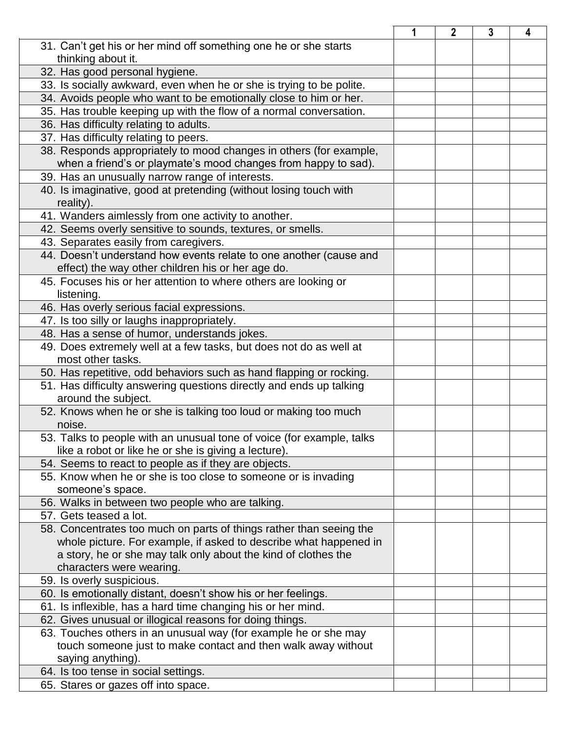|                                                                       | 1 | 2 | 3 | 4 |
|-----------------------------------------------------------------------|---|---|---|---|
| 31. Can't get his or her mind off something one he or she starts      |   |   |   |   |
| thinking about it.                                                    |   |   |   |   |
| 32. Has good personal hygiene.                                        |   |   |   |   |
| 33. Is socially awkward, even when he or she is trying to be polite.  |   |   |   |   |
| 34. Avoids people who want to be emotionally close to him or her.     |   |   |   |   |
| 35. Has trouble keeping up with the flow of a normal conversation.    |   |   |   |   |
| 36. Has difficulty relating to adults.                                |   |   |   |   |
| 37. Has difficulty relating to peers.                                 |   |   |   |   |
| 38. Responds appropriately to mood changes in others (for example,    |   |   |   |   |
| when a friend's or playmate's mood changes from happy to sad).        |   |   |   |   |
| 39. Has an unusually narrow range of interests.                       |   |   |   |   |
| 40. Is imaginative, good at pretending (without losing touch with     |   |   |   |   |
| reality).                                                             |   |   |   |   |
| 41. Wanders aimlessly from one activity to another.                   |   |   |   |   |
| 42. Seems overly sensitive to sounds, textures, or smells.            |   |   |   |   |
| 43. Separates easily from caregivers.                                 |   |   |   |   |
| 44. Doesn't understand how events relate to one another (cause and    |   |   |   |   |
| effect) the way other children his or her age do.                     |   |   |   |   |
| 45. Focuses his or her attention to where others are looking or       |   |   |   |   |
| listening.                                                            |   |   |   |   |
| 46. Has overly serious facial expressions.                            |   |   |   |   |
| 47. Is too silly or laughs inappropriately.                           |   |   |   |   |
| 48. Has a sense of humor, understands jokes.                          |   |   |   |   |
| 49. Does extremely well at a few tasks, but does not do as well at    |   |   |   |   |
| most other tasks.                                                     |   |   |   |   |
| 50. Has repetitive, odd behaviors such as hand flapping or rocking.   |   |   |   |   |
| 51. Has difficulty answering questions directly and ends up talking   |   |   |   |   |
| around the subject.                                                   |   |   |   |   |
| 52. Knows when he or she is talking too loud or making too much       |   |   |   |   |
| noise.                                                                |   |   |   |   |
| 53. Talks to people with an unusual tone of voice (for example, talks |   |   |   |   |
| like a robot or like he or she is giving a lecture).                  |   |   |   |   |
| 54. Seems to react to people as if they are objects.                  |   |   |   |   |
| 55. Know when he or she is too close to someone or is invading        |   |   |   |   |
| someone's space.                                                      |   |   |   |   |
| 56. Walks in between two people who are talking.                      |   |   |   |   |
| 57. Gets teased a lot.                                                |   |   |   |   |
| 58. Concentrates too much on parts of things rather than seeing the   |   |   |   |   |
| whole picture. For example, if asked to describe what happened in     |   |   |   |   |
| a story, he or she may talk only about the kind of clothes the        |   |   |   |   |
| characters were wearing.                                              |   |   |   |   |
| 59. Is overly suspicious.                                             |   |   |   |   |
| 60. Is emotionally distant, doesn't show his or her feelings.         |   |   |   |   |
| 61. Is inflexible, has a hard time changing his or her mind.          |   |   |   |   |
| 62. Gives unusual or illogical reasons for doing things.              |   |   |   |   |
| 63. Touches others in an unusual way (for example he or she may       |   |   |   |   |
| touch someone just to make contact and then walk away without         |   |   |   |   |
| saying anything).                                                     |   |   |   |   |
| 64. Is too tense in social settings.                                  |   |   |   |   |
| 65. Stares or gazes off into space.                                   |   |   |   |   |
|                                                                       |   |   |   |   |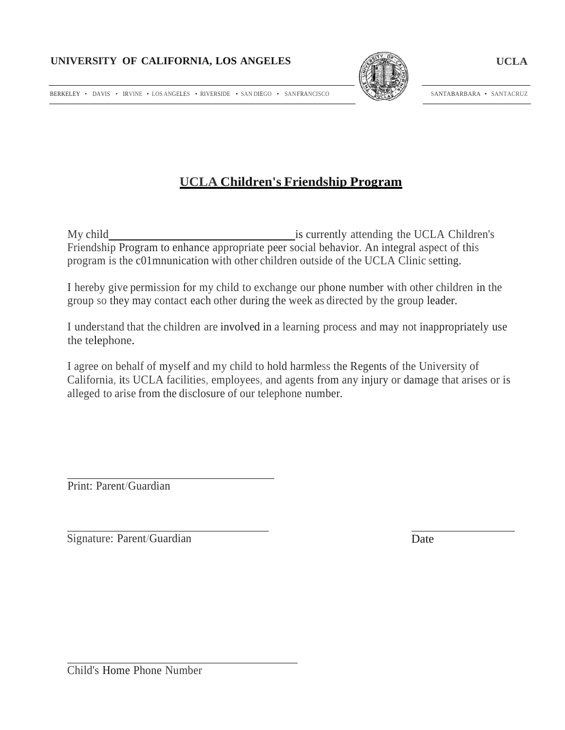

SANTABARBARA • SANTACRUZ

BERKELEY • DAVIS • IRVINE • LOS ANGELES • RIVERSIDE • SAN DIEGO • SANFRANCISCO

# **UCLA Children's Friendship Program**

My child is currently attending the UCLA Children's Friendship Program to enhance appropriate peer social behavior. An integral aspect of this program is the c01mnunication with other children outside of the UCLA Clinic setting.

I hereby give permission for my child to exchange our phone number with other children in the group so they may contact each other during the week as directed by the group leader.

I understand that the children are involved in a learning process and may not inappropriately use the telephone.

I agree on behalf of myself and my child to hold harmless the Regents of the University of California, its UCLA facilities, employees, and agents from any injury or damage that arises or is alleged to arise from the disclosure of our telephone number.

Print: Parent/Guardian

Signature: Parent/Guardian Date